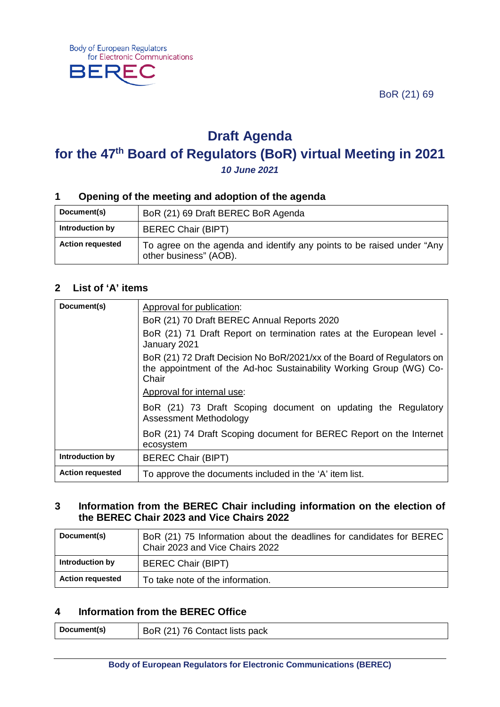BoR (21) 69



# **Draft Agenda for the 47th Board of Regulators (BoR) virtual Meeting in 2021** *10 June 2021*

## **1 Opening of the meeting and adoption of the agenda**

| Document(s)             | BoR (21) 69 Draft BEREC BoR Agenda                                                               |
|-------------------------|--------------------------------------------------------------------------------------------------|
| Introduction by         | <b>BEREC Chair (BIPT)</b>                                                                        |
| <b>Action requested</b> | To agree on the agenda and identify any points to be raised under "Any<br>other business" (AOB). |

#### **2 List of 'A' items**

| Document(s)             | Approval for publication:                                                                                                                               |
|-------------------------|---------------------------------------------------------------------------------------------------------------------------------------------------------|
|                         | BoR (21) 70 Draft BEREC Annual Reports 2020                                                                                                             |
|                         | BoR (21) 71 Draft Report on termination rates at the European level -<br>January 2021                                                                   |
|                         | BoR (21) 72 Draft Decision No BoR/2021/xx of the Board of Regulators on<br>the appointment of the Ad-hoc Sustainability Working Group (WG) Co-<br>Chair |
|                         | Approval for internal use:                                                                                                                              |
|                         | BoR (21) 73 Draft Scoping document on updating the Regulatory<br>Assessment Methodology                                                                 |
|                         | BoR (21) 74 Draft Scoping document for BEREC Report on the Internet<br>ecosystem                                                                        |
| Introduction by         | <b>BEREC Chair (BIPT)</b>                                                                                                                               |
| <b>Action requested</b> | To approve the documents included in the 'A' item list.                                                                                                 |

## **3 Information from the BEREC Chair including information on the election of the BEREC Chair 2023 and Vice Chairs 2022**

| Document(s)             | BoR (21) 75 Information about the deadlines for candidates for BEREC<br>Chair 2023 and Vice Chairs 2022 |
|-------------------------|---------------------------------------------------------------------------------------------------------|
| Introduction by         | <b>BEREC Chair (BIPT)</b>                                                                               |
| <b>Action requested</b> | To take note of the information.                                                                        |

## **4 Information from the BEREC Office**

| Document(s) | BoR (21) 76 Contact lists pack |
|-------------|--------------------------------|
|             |                                |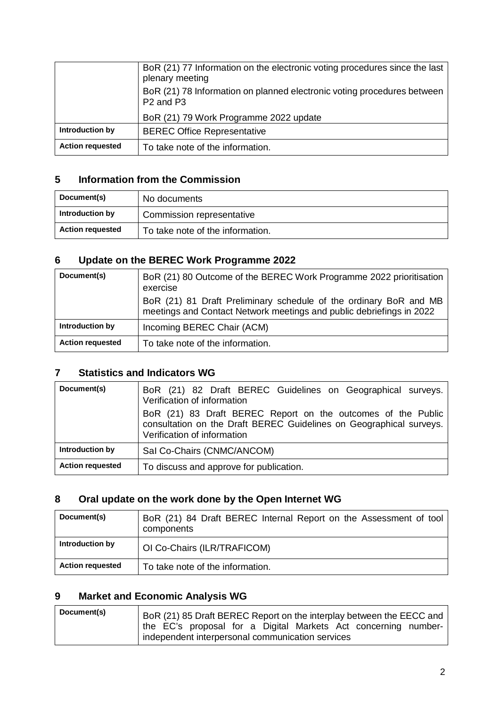|                         | BoR (21) 77 Information on the electronic voting procedures since the last<br>plenary meeting<br>BoR (21) 78 Information on planned electronic voting procedures between<br>P <sub>2</sub> and P <sub>3</sub> |
|-------------------------|---------------------------------------------------------------------------------------------------------------------------------------------------------------------------------------------------------------|
|                         | BoR (21) 79 Work Programme 2022 update                                                                                                                                                                        |
| Introduction by         | <b>BEREC Office Representative</b>                                                                                                                                                                            |
| <b>Action requested</b> | To take note of the information.                                                                                                                                                                              |

## **5 Information from the Commission**

| Document(s)             | No documents                     |
|-------------------------|----------------------------------|
| Introduction by         | Commission representative        |
| <b>Action requested</b> | To take note of the information. |

## **6 Update on the BEREC Work Programme 2022**

| Document(s)             | BoR (21) 80 Outcome of the BEREC Work Programme 2022 prioritisation<br>exercise<br>BoR (21) 81 Draft Preliminary schedule of the ordinary BoR and MB<br>meetings and Contact Network meetings and public debriefings in 2022 |
|-------------------------|------------------------------------------------------------------------------------------------------------------------------------------------------------------------------------------------------------------------------|
| Introduction by         | Incoming BEREC Chair (ACM)                                                                                                                                                                                                   |
| <b>Action requested</b> | To take note of the information.                                                                                                                                                                                             |

## **7 Statistics and Indicators WG**

| Document(s)             | BoR (21) 82 Draft BEREC Guidelines on Geographical surveys.<br>Verification of information                                                                         |
|-------------------------|--------------------------------------------------------------------------------------------------------------------------------------------------------------------|
|                         | BoR (21) 83 Draft BEREC Report on the outcomes of the Public<br>consultation on the Draft BEREC Guidelines on Geographical surveys.<br>Verification of information |
| Introduction by         | Sal Co-Chairs (CNMC/ANCOM)                                                                                                                                         |
| <b>Action requested</b> | To discuss and approve for publication.                                                                                                                            |

## **8 Oral update on the work done by the Open Internet WG**

| Document(s)             | BoR (21) 84 Draft BEREC Internal Report on the Assessment of tool<br>components |
|-------------------------|---------------------------------------------------------------------------------|
| Introduction by         | OI Co-Chairs (ILR/TRAFICOM)                                                     |
| <b>Action requested</b> | To take note of the information.                                                |

## **9 Market and Economic Analysis WG**

| Document(s) | BoR (21) 85 Draft BEREC Report on the interplay between the EECC and |
|-------------|----------------------------------------------------------------------|
|             | the EC's proposal for a Digital Markets Act concerning number-       |
|             | independent interpersonal communication services                     |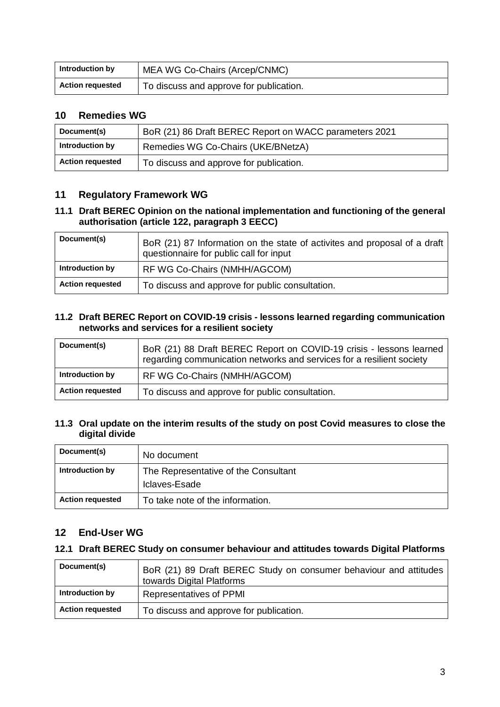| Introduction by         | MEA WG Co-Chairs (Arcep/CNMC)           |
|-------------------------|-----------------------------------------|
| <b>Action requested</b> | To discuss and approve for publication. |

## **10 Remedies WG**

| Document(s)             | BoR (21) 86 Draft BEREC Report on WACC parameters 2021 |
|-------------------------|--------------------------------------------------------|
| Introduction by         | Remedies WG Co-Chairs (UKE/BNetzA)                     |
| <b>Action requested</b> | To discuss and approve for publication.                |

## **11 Regulatory Framework WG**

#### **11.1 Draft BEREC Opinion on the national implementation and functioning of the general authorisation (article 122, paragraph 3 EECC)**

| Document(s)             | BoR (21) 87 Information on the state of activites and proposal of a draft<br>questionnaire for public call for input |
|-------------------------|----------------------------------------------------------------------------------------------------------------------|
| Introduction by         | RF WG Co-Chairs (NMHH/AGCOM)                                                                                         |
| <b>Action requested</b> | To discuss and approve for public consultation.                                                                      |

#### **11.2 Draft BEREC Report on COVID-19 crisis - lessons learned regarding communication networks and services for a resilient society**

| Document(s)             | BoR (21) 88 Draft BEREC Report on COVID-19 crisis - lessons learned<br>regarding communication networks and services for a resilient society |
|-------------------------|----------------------------------------------------------------------------------------------------------------------------------------------|
| Introduction by         | RF WG Co-Chairs (NMHH/AGCOM)                                                                                                                 |
| <b>Action requested</b> | To discuss and approve for public consultation.                                                                                              |

#### **11.3 Oral update on the interim results of the study on post Covid measures to close the digital divide**

| Document(s)             | No document                                           |
|-------------------------|-------------------------------------------------------|
| Introduction by         | The Representative of the Consultant<br>Iclaves-Esade |
| <b>Action requested</b> | To take note of the information.                      |

## **12 End-User WG**

## **12.1 Draft BEREC Study on consumer behaviour and attitudes towards Digital Platforms**

| Document(s)             | BoR (21) 89 Draft BEREC Study on consumer behaviour and attitudes<br>towards Digital Platforms |
|-------------------------|------------------------------------------------------------------------------------------------|
| Introduction by         | <b>Representatives of PPMI</b>                                                                 |
| <b>Action requested</b> | To discuss and approve for publication.                                                        |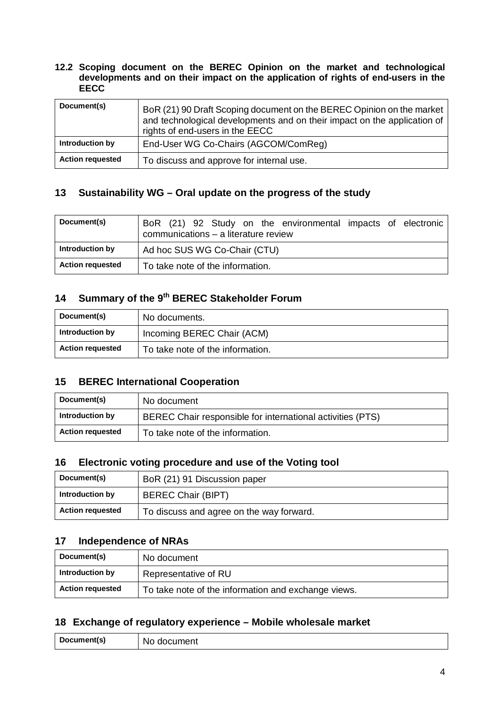#### **12.2 Scoping document on the BEREC Opinion on the market and technological developments and on their impact on the application of rights of end-users in the EECC**

| Document(s)             | BoR (21) 90 Draft Scoping document on the BEREC Opinion on the market<br>and technological developments and on their impact on the application of<br>rights of end-users in the EECC |
|-------------------------|--------------------------------------------------------------------------------------------------------------------------------------------------------------------------------------|
| Introduction by         | End-User WG Co-Chairs (AGCOM/ComReg)                                                                                                                                                 |
| <b>Action requested</b> | To discuss and approve for internal use.                                                                                                                                             |

## **13 Sustainability WG – Oral update on the progress of the study**

| Document(s)             | BoR (21) 92 Study on the environmental impacts of electronic<br>communications - a literature review |
|-------------------------|------------------------------------------------------------------------------------------------------|
| Introduction by         | Ad hoc SUS WG Co-Chair (CTU)                                                                         |
| <b>Action requested</b> | To take note of the information.                                                                     |

## **14 Summary of the 9th BEREC Stakeholder Forum**

| Document(s)             | No documents.                    |
|-------------------------|----------------------------------|
| Introduction by         | Incoming BEREC Chair (ACM)       |
| <b>Action requested</b> | To take note of the information. |

## **15 BEREC International Cooperation**

| Document(s)             | No document                                                |
|-------------------------|------------------------------------------------------------|
| Introduction by         | BEREC Chair responsible for international activities (PTS) |
| <b>Action requested</b> | To take note of the information.                           |

## **16 Electronic voting procedure and use of the Voting tool**

| Document(s)             | BoR (21) 91 Discussion paper             |
|-------------------------|------------------------------------------|
| Introduction by         | <b>BEREC Chair (BIPT)</b>                |
| <b>Action requested</b> | To discuss and agree on the way forward. |

## **17 Independence of NRAs**

| Document(s)             | No document                                         |
|-------------------------|-----------------------------------------------------|
| Introduction by         | Representative of RU                                |
| <b>Action requested</b> | To take note of the information and exchange views. |

## **18 Exchange of regulatory experience – Mobile wholesale market**

| Document(s) | ∘ document<br>N0. |
|-------------|-------------------|
|-------------|-------------------|